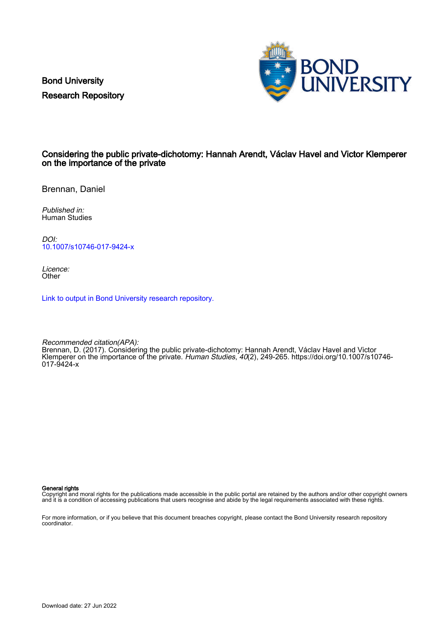Bond University Research Repository



# Considering the public private-dichotomy: Hannah Arendt, Václav Havel and Victor Klemperer on the importance of the private

Brennan, Daniel

Published in: Human Studies

DOI: [10.1007/s10746-017-9424-x](https://doi.org/10.1007/s10746-017-9424-x)

Licence: **Other** 

[Link to output in Bond University research repository.](https://research.bond.edu.au/en/publications/70ade3db-f04a-4c73-aab5-ce1d334051f5)

Recommended citation(APA): Brennan, D. (2017). Considering the public private-dichotomy: Hannah Arendt, Václav Havel and Victor Klemperer on the importance of the private. Human Studies, 40(2), 249-265. [https://doi.org/10.1007/s10746-](https://doi.org/10.1007/s10746-017-9424-x) [017-9424-x](https://doi.org/10.1007/s10746-017-9424-x)

General rights

Copyright and moral rights for the publications made accessible in the public portal are retained by the authors and/or other copyright owners and it is a condition of accessing publications that users recognise and abide by the legal requirements associated with these rights.

For more information, or if you believe that this document breaches copyright, please contact the Bond University research repository coordinator.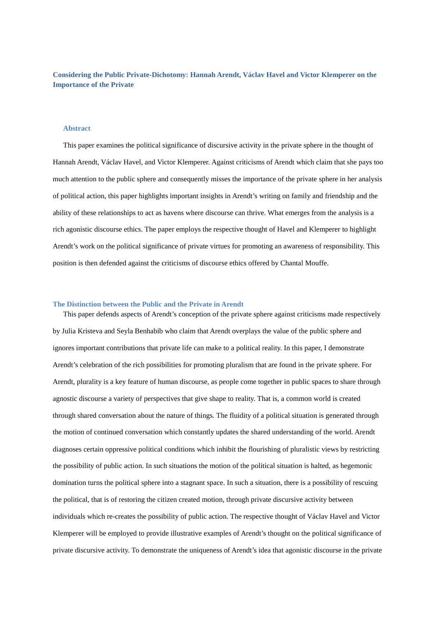## **Considering the Public Private-Dichotomy: Hannah Arendt, Václav Havel and Victor Klemperer on the Importance of the Private**

#### **Abstract**

This paper examines the political significance of discursive activity in the private sphere in the thought of Hannah Arendt, Václav Havel, and Victor Klemperer. Against criticisms of Arendt which claim that she pays too much attention to the public sphere and consequently misses the importance of the private sphere in her analysis of political action, this paper highlights important insights in Arendt's writing on family and friendship and the ability of these relationships to act as havens where discourse can thrive. What emerges from the analysis is a rich agonistic discourse ethics. The paper employs the respective thought of Havel and Klemperer to highlight Arendt's work on the political significance of private virtues for promoting an awareness of responsibility. This position is then defended against the criticisms of discourse ethics offered by Chantal Mouffe.

#### **The Distinction between the Public and the Private in Arendt**

This paper defends aspects of Arendt's conception of the private sphere against criticisms made respectively by Julia Kristeva and Seyla Benhabib who claim that Arendt overplays the value of the public sphere and ignores important contributions that private life can make to a political reality. In this paper, I demonstrate Arendt's celebration of the rich possibilities for promoting pluralism that are found in the private sphere. For Arendt, plurality is a key feature of human discourse, as people come together in public spaces to share through agnostic discourse a variety of perspectives that give shape to reality. That is, a common world is created through shared conversation about the nature of things. The fluidity of a political situation is generated through the motion of continued conversation which constantly updates the shared understanding of the world. Arendt diagnoses certain oppressive political conditions which inhibit the flourishing of pluralistic views by restricting the possibility of public action. In such situations the motion of the political situation is halted, as hegemonic domination turns the political sphere into a stagnant space. In such a situation, there is a possibility of rescuing the political, that is of restoring the citizen created motion, through private discursive activity between individuals which re-creates the possibility of public action. The respective thought of Václav Havel and Victor Klemperer will be employed to provide illustrative examples of Arendt's thought on the political significance of private discursive activity. To demonstrate the uniqueness of Arendt's idea that agonistic discourse in the private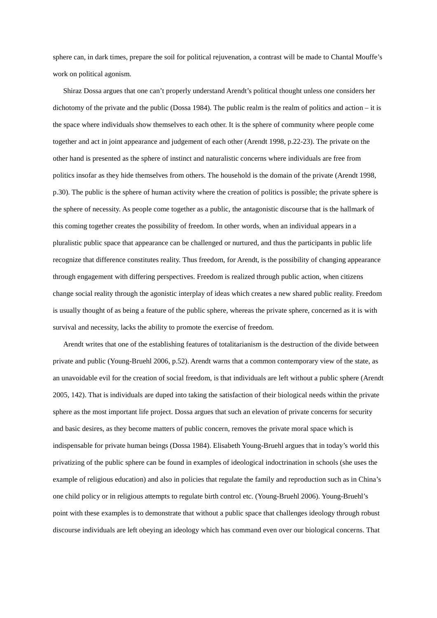sphere can, in dark times, prepare the soil for political rejuvenation, a contrast will be made to Chantal Mouffe's work on political agonism.

Shiraz Dossa argues that one can't properly understand Arendt's political thought unless one considers her dichotomy of the private and the public (Dossa 1984). The public realm is the realm of politics and action – it is the space where individuals show themselves to each other. It is the sphere of community where people come together and act in joint appearance and judgement of each other (Arendt 1998, p.22-23). The private on the other hand is presented as the sphere of instinct and naturalistic concerns where individuals are free from politics insofar as they hide themselves from others. The household is the domain of the private (Arendt 1998, p.30). The public is the sphere of human activity where the creation of politics is possible; the private sphere is the sphere of necessity. As people come together as a public, the antagonistic discourse that is the hallmark of this coming together creates the possibility of freedom. In other words, when an individual appears in a pluralistic public space that appearance can be challenged or nurtured, and thus the participants in public life recognize that difference constitutes reality. Thus freedom, for Arendt, is the possibility of changing appearance through engagement with differing perspectives. Freedom is realized through public action, when citizens change social reality through the agonistic interplay of ideas which creates a new shared public reality. Freedom is usually thought of as being a feature of the public sphere, whereas the private sphere, concerned as it is with survival and necessity, lacks the ability to promote the exercise of freedom.

Arendt writes that one of the establishing features of totalitarianism is the destruction of the divide between private and public (Young-Bruehl 2006, p.52). Arendt warns that a common contemporary view of the state, as an unavoidable evil for the creation of social freedom, is that individuals are left without a public sphere (Arendt 2005, 142). That is individuals are duped into taking the satisfaction of their biological needs within the private sphere as the most important life project. Dossa argues that such an elevation of private concerns for security and basic desires, as they become matters of public concern, removes the private moral space which is indispensable for private human beings (Dossa 1984). Elisabeth Young-Bruehl argues that in today's world this privatizing of the public sphere can be found in examples of ideological indoctrination in schools (she uses the example of religious education) and also in policies that regulate the family and reproduction such as in China's one child policy or in religious attempts to regulate birth control etc. (Young-Bruehl 2006). Young-Bruehl's point with these examples is to demonstrate that without a public space that challenges ideology through robust discourse individuals are left obeying an ideology which has command even over our biological concerns. That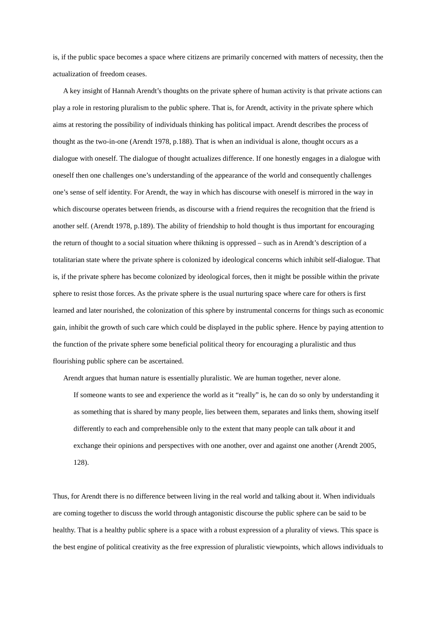is, if the public space becomes a space where citizens are primarily concerned with matters of necessity, then the actualization of freedom ceases.

A key insight of Hannah Arendt's thoughts on the private sphere of human activity is that private actions can play a role in restoring pluralism to the public sphere. That is, for Arendt, activity in the private sphere which aims at restoring the possibility of individuals thinking has political impact. Arendt describes the process of thought as the two-in-one (Arendt 1978, p.188). That is when an individual is alone, thought occurs as a dialogue with oneself. The dialogue of thought actualizes difference. If one honestly engages in a dialogue with oneself then one challenges one's understanding of the appearance of the world and consequently challenges one's sense of self identity. For Arendt, the way in which has discourse with oneself is mirrored in the way in which discourse operates between friends, as discourse with a friend requires the recognition that the friend is another self. (Arendt 1978, p.189). The ability of friendship to hold thought is thus important for encouraging the return of thought to a social situation where thikning is oppressed – such as in Arendt's description of a totalitarian state where the private sphere is colonized by ideological concerns which inhibit self-dialogue. That is, if the private sphere has become colonized by ideological forces, then it might be possible within the private sphere to resist those forces. As the private sphere is the usual nurturing space where care for others is first learned and later nourished, the colonization of this sphere by instrumental concerns for things such as economic gain, inhibit the growth of such care which could be displayed in the public sphere. Hence by paying attention to the function of the private sphere some beneficial political theory for encouraging a pluralistic and thus flourishing public sphere can be ascertained.

Arendt argues that human nature is essentially pluralistic. We are human together, never alone.

If someone wants to see and experience the world as it "really" is, he can do so only by understanding it as something that is shared by many people, lies between them, separates and links them, showing itself differently to each and comprehensible only to the extent that many people can talk *about* it and exchange their opinions and perspectives with one another, over and against one another (Arendt 2005, 128).

Thus, for Arendt there is no difference between living in the real world and talking about it. When individuals are coming together to discuss the world through antagonistic discourse the public sphere can be said to be healthy. That is a healthy public sphere is a space with a robust expression of a plurality of views. This space is the best engine of political creativity as the free expression of pluralistic viewpoints, which allows individuals to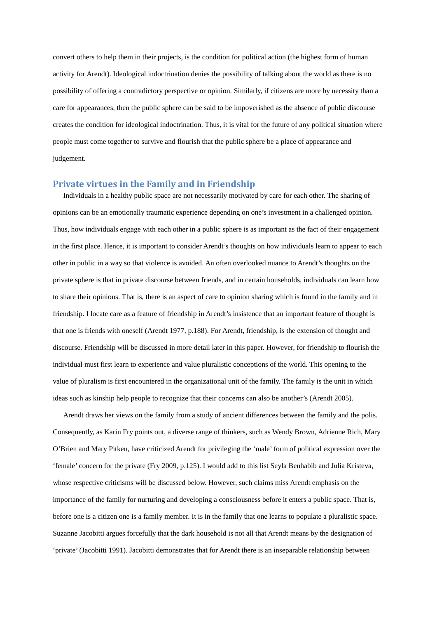convert others to help them in their projects, is the condition for political action (the highest form of human activity for Arendt). Ideological indoctrination denies the possibility of talking about the world as there is no possibility of offering a contradictory perspective or opinion. Similarly, if citizens are more by necessity than a care for appearances, then the public sphere can be said to be impoverished as the absence of public discourse creates the condition for ideological indoctrination. Thus, it is vital for the future of any political situation where people must come together to survive and flourish that the public sphere be a place of appearance and judgement.

## **Private virtues in the Family and in Friendship**

Individuals in a healthy public space are not necessarily motivated by care for each other. The sharing of opinions can be an emotionally traumatic experience depending on one's investment in a challenged opinion. Thus, how individuals engage with each other in a public sphere is as important as the fact of their engagement in the first place. Hence, it is important to consider Arendt's thoughts on how individuals learn to appear to each other in public in a way so that violence is avoided. An often overlooked nuance to Arendt's thoughts on the private sphere is that in private discourse between friends, and in certain households, individuals can learn how to share their opinions. That is, there is an aspect of care to opinion sharing which is found in the family and in friendship. I locate care as a feature of friendship in Arendt's insistence that an important feature of thought is that one is friends with oneself (Arendt 1977, p.188). For Arendt, friendship, is the extension of thought and discourse. Friendship will be discussed in more detail later in this paper. However, for friendship to flourish the individual must first learn to experience and value pluralistic conceptions of the world. This opening to the value of pluralism is first encountered in the organizational unit of the family. The family is the unit in which ideas such as kinship help people to recognize that their concerns can also be another's (Arendt 2005).

Arendt draws her views on the family from a study of ancient differences between the family and the polis. Consequently, as Karin Fry points out, a diverse range of thinkers, such as Wendy Brown, Adrienne Rich, Mary O'Brien and Mary Pitken, have criticized Arendt for privileging the 'male' form of political expression over the 'female' concern for the private (Fry 2009, p.125). I would add to this list Seyla Benhabib and Julia Kristeva, whose respective criticisms will be discussed below. However, such claims miss Arendt emphasis on the importance of the family for nurturing and developing a consciousness before it enters a public space. That is, before one is a citizen one is a family member. It is in the family that one learns to populate a pluralistic space. Suzanne Jacobitti argues forcefully that the dark household is not all that Arendt means by the designation of 'private' (Jacobitti 1991). Jacobitti demonstrates that for Arendt there is an inseparable relationship between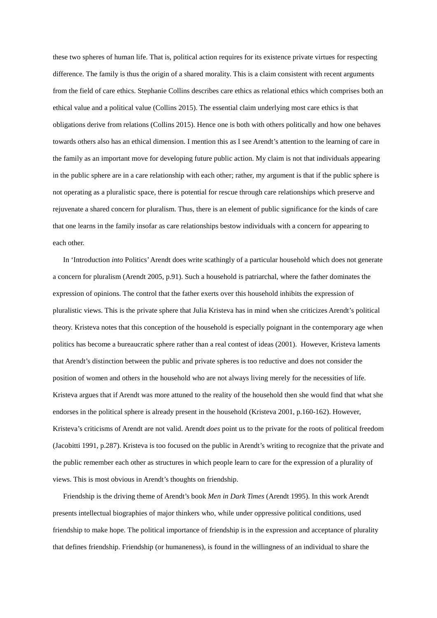these two spheres of human life. That is, political action requires for its existence private virtues for respecting difference. The family is thus the origin of a shared morality. This is a claim consistent with recent arguments from the field of care ethics. Stephanie Collins describes care ethics as relational ethics which comprises both an ethical value and a political value (Collins 2015). The essential claim underlying most care ethics is that obligations derive from relations (Collins 2015). Hence one is both with others politically and how one behaves towards others also has an ethical dimension. I mention this as I see Arendt's attention to the learning of care in the family as an important move for developing future public action. My claim is not that individuals appearing in the public sphere are in a care relationship with each other; rather, my argument is that if the public sphere is not operating as a pluralistic space, there is potential for rescue through care relationships which preserve and rejuvenate a shared concern for pluralism. Thus, there is an element of public significance for the kinds of care that one learns in the family insofar as care relationships bestow individuals with a concern for appearing to each other.

In 'Introduction *into* Politics'Arendt does write scathingly of a particular household which does not generate a concern for pluralism (Arendt 2005, p.91). Such a household is patriarchal, where the father dominates the expression of opinions. The control that the father exerts over this household inhibits the expression of pluralistic views. This is the private sphere that Julia Kristeva has in mind when she criticizes Arendt's political theory. Kristeva notes that this conception of the household is especially poignant in the contemporary age when politics has become a bureaucratic sphere rather than a real contest of ideas (2001). However, Kristeva laments that Arendt's distinction between the public and private spheres is too reductive and does not consider the position of women and others in the household who are not always living merely for the necessities of life. Kristeva argues that if Arendt was more attuned to the reality of the household then she would find that what she endorses in the political sphere is already present in the household (Kristeva 2001, p.160-162). However, Kristeva's criticisms of Arendt are not valid. Arendt *does* point us to the private for the roots of political freedom (Jacobitti 1991, p.287). Kristeva is too focused on the public in Arendt's writing to recognize that the private and the public remember each other as structures in which people learn to care for the expression of a plurality of views. This is most obvious in Arendt's thoughts on friendship.

Friendship is the driving theme of Arendt's book *Men in Dark Times* (Arendt 1995). In this work Arendt presents intellectual biographies of major thinkers who, while under oppressive political conditions, used friendship to make hope. The political importance of friendship is in the expression and acceptance of plurality that defines friendship. Friendship (or humaneness), is found in the willingness of an individual to share the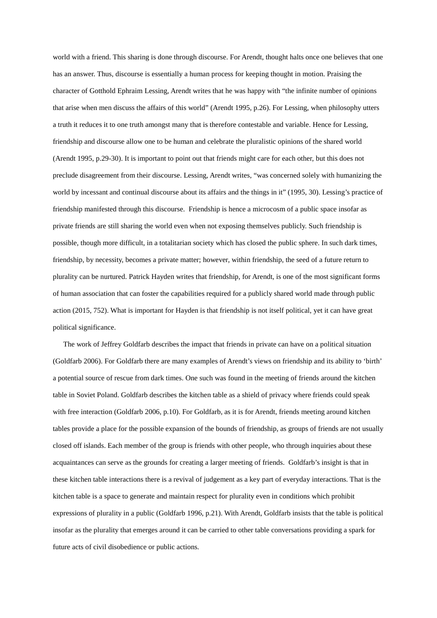world with a friend. This sharing is done through discourse. For Arendt, thought halts once one believes that one has an answer. Thus, discourse is essentially a human process for keeping thought in motion. Praising the character of Gotthold Ephraim Lessing, Arendt writes that he was happy with "the infinite number of opinions that arise when men discuss the affairs of this world" (Arendt 1995, p.26). For Lessing, when philosophy utters a truth it reduces it to one truth amongst many that is therefore contestable and variable. Hence for Lessing, friendship and discourse allow one to be human and celebrate the pluralistic opinions of the shared world (Arendt 1995, p.29-30). It is important to point out that friends might care for each other, but this does not preclude disagreement from their discourse. Lessing, Arendt writes, "was concerned solely with humanizing the world by incessant and continual discourse about its affairs and the things in it" (1995, 30). Lessing's practice of friendship manifested through this discourse. Friendship is hence a microcosm of a public space insofar as private friends are still sharing the world even when not exposing themselves publicly. Such friendship is possible, though more difficult, in a totalitarian society which has closed the public sphere. In such dark times, friendship, by necessity, becomes a private matter; however, within friendship, the seed of a future return to plurality can be nurtured. Patrick Hayden writes that friendship, for Arendt, is one of the most significant forms of human association that can foster the capabilities required for a publicly shared world made through public action (2015, 752). What is important for Hayden is that friendship is not itself political, yet it can have great political significance.

The work of Jeffrey Goldfarb describes the impact that friends in private can have on a political situation (Goldfarb 2006). For Goldfarb there are many examples of Arendt's views on friendship and its ability to 'birth' a potential source of rescue from dark times. One such was found in the meeting of friends around the kitchen table in Soviet Poland. Goldfarb describes the kitchen table as a shield of privacy where friends could speak with free interaction (Goldfarb 2006, p.10). For Goldfarb, as it is for Arendt, friends meeting around kitchen tables provide a place for the possible expansion of the bounds of friendship, as groups of friends are not usually closed off islands. Each member of the group is friends with other people, who through inquiries about these acquaintances can serve as the grounds for creating a larger meeting of friends. Goldfarb's insight is that in these kitchen table interactions there is a revival of judgement as a key part of everyday interactions. That is the kitchen table is a space to generate and maintain respect for plurality even in conditions which prohibit expressions of plurality in a public (Goldfarb 1996, p.21). With Arendt, Goldfarb insists that the table is political insofar as the plurality that emerges around it can be carried to other table conversations providing a spark for future acts of civil disobedience or public actions.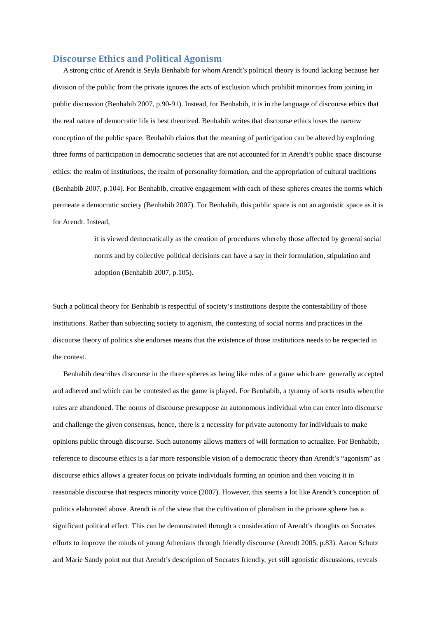## **Discourse Ethics and Political Agonism**

A strong critic of Arendt is Seyla Benhabib for whom Arendt's political theory is found lacking because her division of the public from the private ignores the acts of exclusion which prohibit minorities from joining in public discussion (Benhabib 2007, p.90-91). Instead, for Benhabib, it is in the language of discourse ethics that the real nature of democratic life is best theorized. Benhabib writes that discourse ethics loses the narrow conception of the public space. Benhabib claims that the meaning of participation can be altered by exploring three forms of participation in democratic societies that are not accounted for in Arendt's public space discourse ethics: the realm of institutions, the realm of personality formation, and the appropriation of cultural traditions (Benhabib 2007, p.104). For Benhabib, creative engagement with each of these spheres creates the norms which permeate a democratic society (Benhabib 2007). For Benhabib, this public space is not an agonistic space as it is for Arendt. Instead,

> it is viewed democratically as the creation of procedures whereby those affected by general social norms and by collective political decisions can have a say in their formulation, stipulation and adoption (Benhabib 2007, p.105).

Such a political theory for Benhabib is respectful of society's institutions despite the contestability of those institutions. Rather than subjecting society to agonism, the contesting of social norms and practices in the discourse theory of politics she endorses means that the existence of those institutions needs to be respected in the contest.

Benhabib describes discourse in the three spheres as being like rules of a game which are generally accepted and adhered and which can be contested as the game is played. For Benhabib, a tyranny of sorts results when the rules are abandoned. The norms of discourse presuppose an autonomous individual who can enter into discourse and challenge the given consensus, hence, there is a necessity for private autonomy for individuals to make opinions public through discourse. Such autonomy allows matters of will formation to actualize. For Benhabib, reference to discourse ethics is a far more responsible vision of a democratic theory than Arendt's "agonism" as discourse ethics allows a greater focus on private individuals forming an opinion and then voicing it in reasonable discourse that respects minority voice (2007). However, this seems a lot like Arendt's conception of politics elaborated above. Arendt is of the view that the cultivation of pluralism in the private sphere has a significant political effect. This can be demonstrated through a consideration of Arendt's thoughts on Socrates efforts to improve the minds of young Athenians through friendly discourse (Arendt 2005, p.83). Aaron Schutz and Marie Sandy point out that Arendt's description of Socrates friendly, yet still agonistic discussions, reveals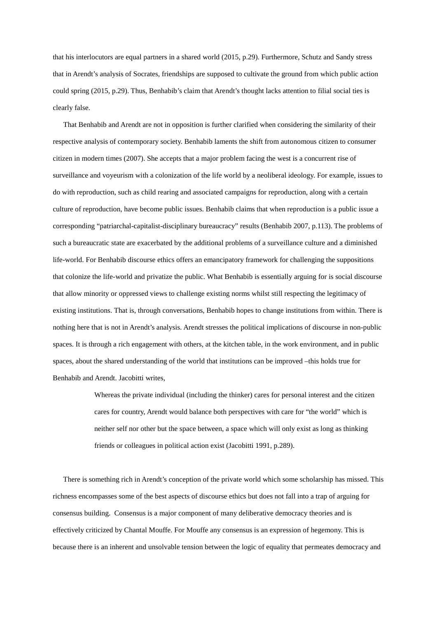that his interlocutors are equal partners in a shared world (2015, p.29). Furthermore, Schutz and Sandy stress that in Arendt's analysis of Socrates, friendships are supposed to cultivate the ground from which public action could spring (2015, p.29). Thus, Benhabib's claim that Arendt's thought lacks attention to filial social ties is clearly false.

That Benhabib and Arendt are not in opposition is further clarified when considering the similarity of their respective analysis of contemporary society. Benhabib laments the shift from autonomous citizen to consumer citizen in modern times (2007). She accepts that a major problem facing the west is a concurrent rise of surveillance and voyeurism with a colonization of the life world by a neoliberal ideology. For example, issues to do with reproduction, such as child rearing and associated campaigns for reproduction, along with a certain culture of reproduction, have become public issues. Benhabib claims that when reproduction is a public issue a corresponding "patriarchal-capitalist-disciplinary bureaucracy" results (Benhabib 2007, p.113). The problems of such a bureaucratic state are exacerbated by the additional problems of a surveillance culture and a diminished life-world. For Benhabib discourse ethics offers an emancipatory framework for challenging the suppositions that colonize the life-world and privatize the public. What Benhabib is essentially arguing for is social discourse that allow minority or oppressed views to challenge existing norms whilst still respecting the legitimacy of existing institutions. That is, through conversations, Benhabib hopes to change institutions from within. There is nothing here that is not in Arendt's analysis. Arendt stresses the political implications of discourse in non-public spaces. It is through a rich engagement with others, at the kitchen table, in the work environment, and in public spaces, about the shared understanding of the world that institutions can be improved –this holds true for Benhabib and Arendt. Jacobitti writes,

> Whereas the private individual (including the thinker) cares for personal interest and the citizen cares for country, Arendt would balance both perspectives with care for "the world" which is neither self nor other but the space between, a space which will only exist as long as thinking friends or colleagues in political action exist (Jacobitti 1991, p.289).

There is something rich in Arendt's conception of the private world which some scholarship has missed. This richness encompasses some of the best aspects of discourse ethics but does not fall into a trap of arguing for consensus building. Consensus is a major component of many deliberative democracy theories and is effectively criticized by Chantal Mouffe. For Mouffe any consensus is an expression of hegemony. This is because there is an inherent and unsolvable tension between the logic of equality that permeates democracy and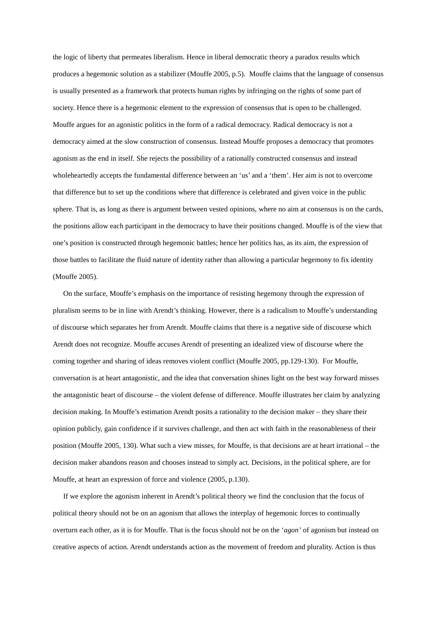the logic of liberty that permeates liberalism. Hence in liberal democratic theory a paradox results which produces a hegemonic solution as a stabilizer (Mouffe 2005, p.5). Mouffe claims that the language of consensus is usually presented as a framework that protects human rights by infringing on the rights of some part of society. Hence there is a hegemonic element to the expression of consensus that is open to be challenged. Mouffe argues for an agonistic politics in the form of a radical democracy. Radical democracy is not a democracy aimed at the slow construction of consensus. Instead Mouffe proposes a democracy that promotes agonism as the end in itself. She rejects the possibility of a rationally constructed consensus and instead wholeheartedly accepts the fundamental difference between an 'us' and a 'them'. Her aim is not to overcome that difference but to set up the conditions where that difference is celebrated and given voice in the public sphere. That is, as long as there is argument between vested opinions, where no aim at consensus is on the cards, the positions allow each participant in the democracy to have their positions changed. Mouffe is of the view that one's position is constructed through hegemonic battles; hence her politics has, as its aim, the expression of those battles to facilitate the fluid nature of identity rather than allowing a particular hegemony to fix identity (Mouffe 2005).

On the surface, Mouffe's emphasis on the importance of resisting hegemony through the expression of pluralism seems to be in line with Arendt's thinking. However, there is a radicalism to Mouffe's understanding of discourse which separates her from Arendt. Mouffe claims that there is a negative side of discourse which Arendt does not recognize. Mouffe accuses Arendt of presenting an idealized view of discourse where the coming together and sharing of ideas removes violent conflict (Mouffe 2005, pp.129-130). For Mouffe, conversation is at heart antagonistic, and the idea that conversation shines light on the best way forward misses the antagonistic heart of discourse – the violent defense of difference. Mouffe illustrates her claim by analyzing decision making. In Mouffe's estimation Arendt posits a rationality to the decision maker – they share their opinion publicly, gain confidence if it survives challenge, and then act with faith in the reasonableness of their position (Mouffe 2005, 130). What such a view misses, for Mouffe, is that decisions are at heart irrational – the decision maker abandons reason and chooses instead to simply act. Decisions, in the political sphere, are for Mouffe, at heart an expression of force and violence (2005, p.130).

If we explore the agonism inherent in Arendt's political theory we find the conclusion that the focus of political theory should not be on an agonism that allows the interplay of hegemonic forces to continually overturn each other, as it is for Mouffe. That is the focus should not be on the '*agon'* of agonism but instead on creative aspects of action. Arendt understands action as the movement of freedom and plurality. Action is thus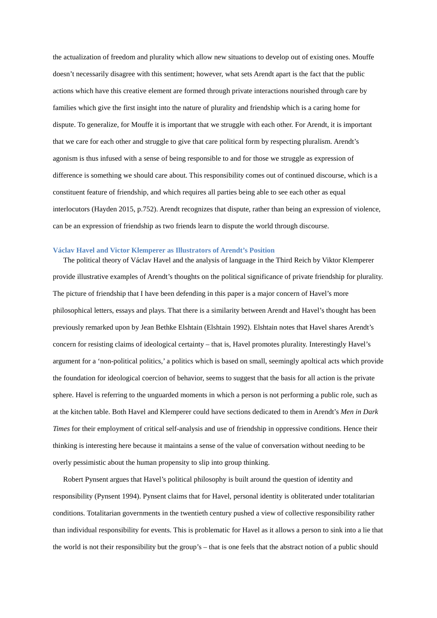the actualization of freedom and plurality which allow new situations to develop out of existing ones. Mouffe doesn't necessarily disagree with this sentiment; however, what sets Arendt apart is the fact that the public actions which have this creative element are formed through private interactions nourished through care by families which give the first insight into the nature of plurality and friendship which is a caring home for dispute. To generalize, for Mouffe it is important that we struggle with each other. For Arendt, it is important that we care for each other and struggle to give that care political form by respecting pluralism. Arendt's agonism is thus infused with a sense of being responsible to and for those we struggle as expression of difference is something we should care about. This responsibility comes out of continued discourse, which is a constituent feature of friendship, and which requires all parties being able to see each other as equal interlocutors (Hayden 2015, p.752). Arendt recognizes that dispute, rather than being an expression of violence, can be an expression of friendship as two friends learn to dispute the world through discourse.

#### **Václav Havel and Victor Klemperer as Illustrators of Arendt's Position**

The political theory of Václav Havel and the analysis of language in the Third Reich by Viktor Klemperer provide illustrative examples of Arendt's thoughts on the political significance of private friendship for plurality. The picture of friendship that I have been defending in this paper is a major concern of Havel's more philosophical letters, essays and plays. That there is a similarity between Arendt and Havel's thought has been previously remarked upon by Jean Bethke Elshtain (Elshtain 1992). Elshtain notes that Havel shares Arendt's concern for resisting claims of ideological certainty – that is, Havel promotes plurality. Interestingly Havel's argument for a 'non-political politics,' a politics which is based on small, seemingly apoltical acts which provide the foundation for ideological coercion of behavior, seems to suggest that the basis for all action is the private sphere. Havel is referring to the unguarded moments in which a person is not performing a public role, such as at the kitchen table. Both Havel and Klemperer could have sections dedicated to them in Arendt's *Men in Dark Times* for their employment of critical self-analysis and use of friendship in oppressive conditions. Hence their thinking is interesting here because it maintains a sense of the value of conversation without needing to be overly pessimistic about the human propensity to slip into group thinking.

Robert Pynsent argues that Havel's political philosophy is built around the question of identity and responsibility (Pynsent 1994). Pynsent claims that for Havel, personal identity is obliterated under totalitarian conditions. Totalitarian governments in the twentieth century pushed a view of collective responsibility rather than individual responsibility for events. This is problematic for Havel as it allows a person to sink into a lie that the world is not their responsibility but the group's – that is one feels that the abstract notion of a public should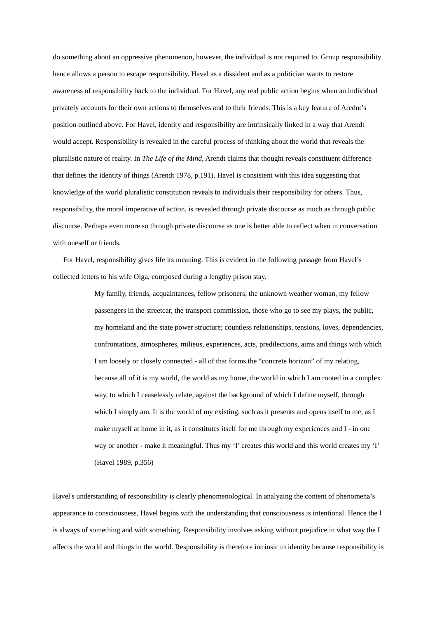do something about an oppressive phenomenon, however, the individual is not required to. Group responsibility hence allows a person to escape responsibility. Havel as a dissident and as a politician wants to restore awareness of responsibility back to the individual. For Havel, any real public action begins when an individual privately accounts for their own actions to themselves and to their friends. This is a key feature of Arednt's position outlined above. For Havel, identity and responsibility are intrinsically linked in a way that Arendt would accept. Responsibility is revealed in the careful process of thinking about the world that reveals the pluralistic nature of reality. In *The Life of the Mind*, Arendt claims that thought reveals constituent difference that defines the identity of things (Arendt 1978, p.191). Havel is consistent with this idea suggesting that knowledge of the world pluralistic constitution reveals to individuals their responsibility for others. Thus, responsibility, the moral imperative of action, is revealed through private discourse as much as through public discourse. Perhaps even more so through private discourse as one is better able to reflect when in conversation with oneself or friends.

For Havel, responsibility gives life its meaning. This is evident in the following passage from Havel's collected letters to his wife Olga, composed during a lengthy prison stay.

> My family, friends, acquaintances, fellow prisoners, the unknown weather woman, my fellow passengers in the streetcar, the transport commission, those who go to see my plays, the public, my homeland and the state power structure; countless relationships, tensions, loves, dependencies, confrontations, atmospheres, milieus, experiences, acts, predilections, aims and things with which I am loosely or closely connected - all of that forms the "concrete horizon" of my relating, because all of it is my world, the world as my home, the world in which I am rooted in a complex way, to which I ceaselessly relate, against the background of which I define myself, through which I simply am. It is the world of my existing, such as it presents and opens itself to me, as I make myself at home in it, as it constitutes itself for me through my experiences and I - in one way or another - make it meaningful. Thus my 'I' creates this world and this world creates my 'I' (Havel 1989, p.356)

Havel's understanding of responsibility is clearly phenomenological. In analyzing the content of phenomena's appearance to consciousness, Havel begins with the understanding that consciousness is intentional. Hence the I is always of something and with something. Responsibility involves asking without prejudice in what way the I affects the world and things in the world. Responsibility is therefore intrinsic to identity because responsibility is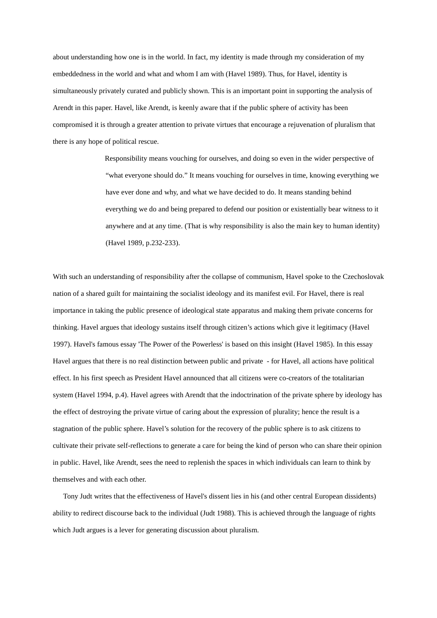about understanding how one is in the world. In fact, my identity is made through my consideration of my embeddedness in the world and what and whom I am with (Havel 1989). Thus, for Havel, identity is simultaneously privately curated and publicly shown. This is an important point in supporting the analysis of Arendt in this paper. Havel, like Arendt, is keenly aware that if the public sphere of activity has been compromised it is through a greater attention to private virtues that encourage a rejuvenation of pluralism that there is any hope of political rescue.

> Responsibility means vouching for ourselves, and doing so even in the wider perspective of "what everyone should do." It means vouching for ourselves in time, knowing everything we have ever done and why, and what we have decided to do. It means standing behind everything we do and being prepared to defend our position or existentially bear witness to it anywhere and at any time. (That is why responsibility is also the main key to human identity) (Havel 1989, p.232-233).

With such an understanding of responsibility after the collapse of communism, Havel spoke to the Czechoslovak nation of a shared guilt for maintaining the socialist ideology and its manifest evil. For Havel, there is real importance in taking the public presence of ideological state apparatus and making them private concerns for thinking. Havel argues that ideology sustains itself through citizen's actions which give it legitimacy (Havel 1997). Havel's famous essay 'The Power of the Powerless' is based on this insight (Havel 1985). In this essay Havel argues that there is no real distinction between public and private - for Havel, all actions have political effect. In his first speech as President Havel announced that all citizens were co-creators of the totalitarian system (Havel 1994, p.4). Havel agrees with Arendt that the indoctrination of the private sphere by ideology has the effect of destroying the private virtue of caring about the expression of plurality; hence the result is a stagnation of the public sphere. Havel's solution for the recovery of the public sphere is to ask citizens to cultivate their private self-reflections to generate a care for being the kind of person who can share their opinion in public. Havel, like Arendt, sees the need to replenish the spaces in which individuals can learn to think by themselves and with each other.

Tony Judt writes that the effectiveness of Havel's dissent lies in his (and other central European dissidents) ability to redirect discourse back to the individual (Judt 1988). This is achieved through the language of rights which Judt argues is a lever for generating discussion about pluralism.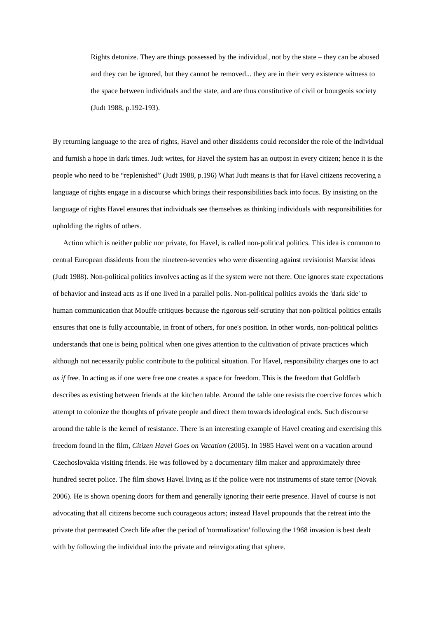Rights detonize. They are things possessed by the individual, not by the state – they can be abused and they can be ignored, but they cannot be removed... they are in their very existence witness to the space between individuals and the state, and are thus constitutive of civil or bourgeois society (Judt 1988, p.192-193).

By returning language to the area of rights, Havel and other dissidents could reconsider the role of the individual and furnish a hope in dark times. Judt writes, for Havel the system has an outpost in every citizen; hence it is the people who need to be "replenished" (Judt 1988, p.196) What Judt means is that for Havel citizens recovering a language of rights engage in a discourse which brings their responsibilities back into focus. By insisting on the language of rights Havel ensures that individuals see themselves as thinking individuals with responsibilities for upholding the rights of others.

Action which is neither public nor private, for Havel, is called non-political politics. This idea is common to central European dissidents from the nineteen-seventies who were dissenting against revisionist Marxist ideas (Judt 1988). Non-political politics involves acting as if the system were not there. One ignores state expectations of behavior and instead acts as if one lived in a parallel polis. Non-political politics avoids the 'dark side' to human communication that Mouffe critiques because the rigorous self-scrutiny that non-political politics entails ensures that one is fully accountable, in front of others, for one's position. In other words, non-political politics understands that one is being political when one gives attention to the cultivation of private practices which although not necessarily public contribute to the political situation. For Havel, responsibility charges one to act *as if* free. In acting as if one were free one creates a space for freedom. This is the freedom that Goldfarb describes as existing between friends at the kitchen table. Around the table one resists the coercive forces which attempt to colonize the thoughts of private people and direct them towards ideological ends. Such discourse around the table is the kernel of resistance. There is an interesting example of Havel creating and exercising this freedom found in the film, *Citizen Havel Goes on Vacation* (2005). In 1985 Havel went on a vacation around Czechoslovakia visiting friends. He was followed by a documentary film maker and approximately three hundred secret police. The film shows Havel living as if the police were not instruments of state terror (Novak 2006). He is shown opening doors for them and generally ignoring their eerie presence. Havel of course is not advocating that all citizens become such courageous actors; instead Havel propounds that the retreat into the private that permeated Czech life after the period of 'normalization' following the 1968 invasion is best dealt with by following the individual into the private and reinvigorating that sphere.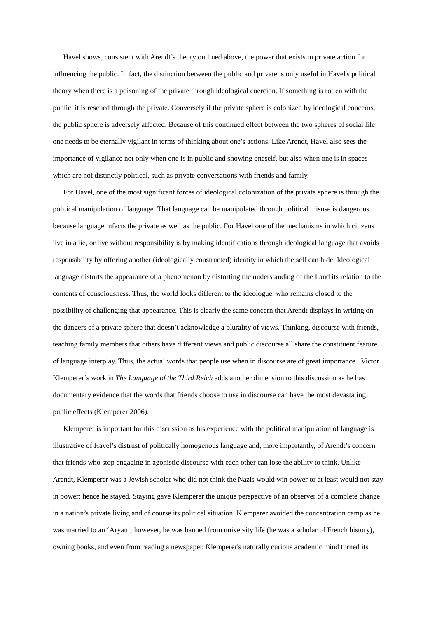Havel shows, consistent with Arendt's theory outlined above, the power that exists in private action for influencing the public. In fact, the distinction between the public and private is only useful in Havel's political theory when there is a poisoning of the private through ideological coercion. If something is rotten with the public, it is rescued through the private. Conversely if the private sphere is colonized by ideological concerns, the public sphere is adversely affected. Because of this continued effect between the two spheres of social life one needs to be eternally vigilant in terms of thinking about one's actions. Like Arendt, Havel also sees the importance of vigilance not only when one is in public and showing oneself, but also when one is in spaces which are not distinctly political, such as private conversations with friends and family.

For Havel, one of the most significant forces of ideological colonization of the private sphere is through the political manipulation of language. That language can be manipulated through political misuse is dangerous because language infects the private as well as the public. For Havel one of the mechanisms in which citizens live in a lie, or live without responsibility is by making identifications through ideological language that avoids responsibility by offering another (ideologically constructed) identity in which the self can hide. Ideological language distorts the appearance of a phenomenon by distorting the understanding of the I and its relation to the contents of consciousness. Thus, the world looks different to the ideologue, who remains closed to the possibility of challenging that appearance. This is clearly the same concern that Arendt displays in writing on the dangers of a private sphere that doesn't acknowledge a plurality of views. Thinking, discourse with friends, teaching family members that others have different views and public discourse all share the constituent feature of language interplay. Thus, the actual words that people use when in discourse are of great importance. Victor Klemperer's work in *The Language of the Third Reich* adds another dimension to this discussion as he has documentary evidence that the words that friends choose to use in discourse can have the most devastating public effects (Klemperer 2006).

Klemperer is important for this discussion as his experience with the political manipulation of language is illustrative of Havel's distrust of politically homogenous language and, more importantly, of Arendt's concern that friends who stop engaging in agonistic discourse with each other can lose the ability to think. Unlike Arendt, Klemperer was a Jewish scholar who did not think the Nazis would win power or at least would not stay in power; hence he stayed. Staying gave Klemperer the unique perspective of an observer of a complete change in a nation's private living and of course its political situation. Klemperer avoided the concentration camp as he was married to an 'Aryan'; however, he was banned from university life (he was a scholar of French history), owning books, and even from reading a newspaper. Klemperer's naturally curious academic mind turned its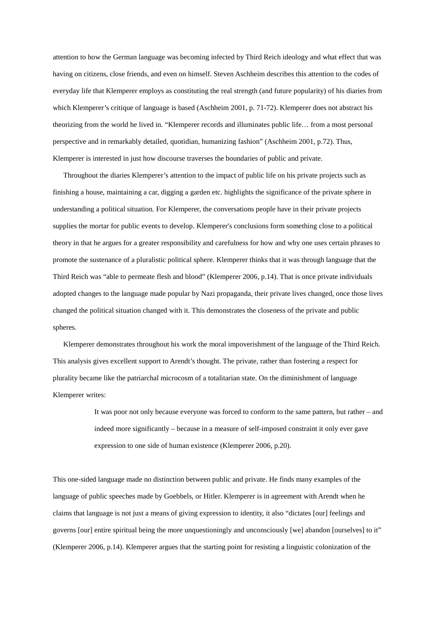attention to how the German language was becoming infected by Third Reich ideology and what effect that was having on citizens, close friends, and even on himself. Steven Aschheim describes this attention to the codes of everyday life that Klemperer employs as constituting the real strength (and future popularity) of his diaries from which Klemperer's critique of language is based (Aschheim 2001, p. 71-72). Klemperer does not abstract his theorizing from the world he lived in. "Klemperer records and illuminates public life… from a most personal perspective and in remarkably detailed, quotidian, humanizing fashion" (Aschheim 2001, p.72). Thus, Klemperer is interested in just how discourse traverses the boundaries of public and private.

Throughout the diaries Klemperer's attention to the impact of public life on his private projects such as finishing a house, maintaining a car, digging a garden etc. highlights the significance of the private sphere in understanding a political situation. For Klemperer, the conversations people have in their private projects supplies the mortar for public events to develop. Klemperer's conclusions form something close to a political theory in that he argues for a greater responsibility and carefulness for how and why one uses certain phrases to promote the sustenance of a pluralistic political sphere. Klemperer thinks that it was through language that the Third Reich was "able to permeate flesh and blood" (Klemperer 2006, p.14). That is once private individuals adopted changes to the language made popular by Nazi propaganda, their private lives changed, once those lives changed the political situation changed with it. This demonstrates the closeness of the private and public spheres.

Klemperer demonstrates throughout his work the moral impoverishment of the language of the Third Reich. This analysis gives excellent support to Arendt's thought. The private, rather than fostering a respect for plurality became like the patriarchal microcosm of a totalitarian state. On the diminishment of language Klemperer writes:

> It was poor not only because everyone was forced to conform to the same pattern, but rather – and indeed more significantly – because in a measure of self-imposed constraint it only ever gave expression to one side of human existence (Klemperer 2006, p.20).

This one-sided language made no distinction between public and private. He finds many examples of the language of public speeches made by Goebbels, or Hitler. Klemperer is in agreement with Arendt when he claims that language is not just a means of giving expression to identity, it also "dictates [our] feelings and governs [our] entire spiritual being the more unquestioningly and unconsciously [we] abandon [ourselves] to it" (Klemperer 2006, p.14). Klemperer argues that the starting point for resisting a linguistic colonization of the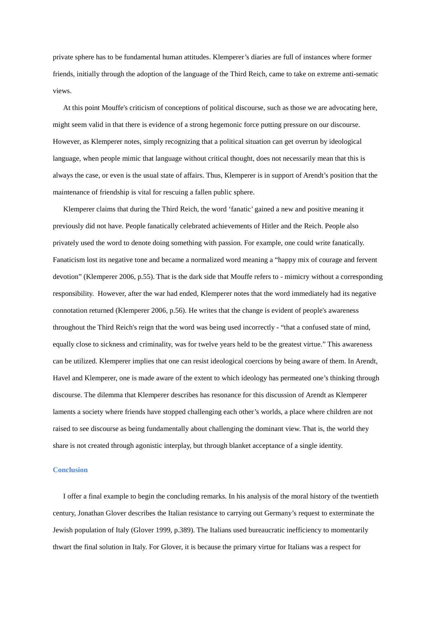private sphere has to be fundamental human attitudes. Klemperer's diaries are full of instances where former friends, initially through the adoption of the language of the Third Reich, came to take on extreme anti-sematic views.

At this point Mouffe's criticism of conceptions of political discourse, such as those we are advocating here, might seem valid in that there is evidence of a strong hegemonic force putting pressure on our discourse. However, as Klemperer notes, simply recognizing that a political situation can get overrun by ideological language, when people mimic that language without critical thought, does not necessarily mean that this is always the case, or even is the usual state of affairs. Thus, Klemperer is in support of Arendt's position that the maintenance of friendship is vital for rescuing a fallen public sphere.

Klemperer claims that during the Third Reich, the word 'fanatic' gained a new and positive meaning it previously did not have. People fanatically celebrated achievements of Hitler and the Reich. People also privately used the word to denote doing something with passion. For example, one could write fanatically. Fanaticism lost its negative tone and became a normalized word meaning a "happy mix of courage and fervent devotion" (Klemperer 2006, p.55). That is the dark side that Mouffe refers to - mimicry without a corresponding responsibility. However, after the war had ended, Klemperer notes that the word immediately had its negative connotation returned (Klemperer 2006, p.56). He writes that the change is evident of people's awareness throughout the Third Reich's reign that the word was being used incorrectly - "that a confused state of mind, equally close to sickness and criminality, was for twelve years held to be the greatest virtue." This awareness can be utilized. Klemperer implies that one can resist ideological coercions by being aware of them. In Arendt, Havel and Klemperer, one is made aware of the extent to which ideology has permeated one's thinking through discourse. The dilemma that Klemperer describes has resonance for this discussion of Arendt as Klemperer laments a society where friends have stopped challenging each other's worlds, a place where children are not raised to see discourse as being fundamentally about challenging the dominant view. That is, the world they share is not created through agonistic interplay, but through blanket acceptance of a single identity.

### **Conclusion**

I offer a final example to begin the concluding remarks. In his analysis of the moral history of the twentieth century, Jonathan Glover describes the Italian resistance to carrying out Germany's request to exterminate the Jewish population of Italy (Glover 1999, p.389). The Italians used bureaucratic inefficiency to momentarily thwart the final solution in Italy. For Glover, it is because the primary virtue for Italians was a respect for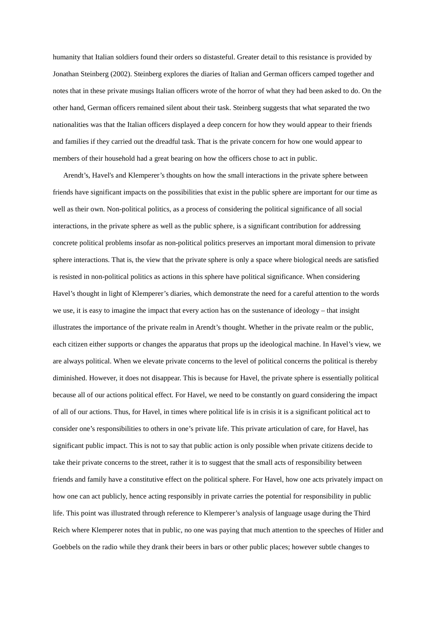humanity that Italian soldiers found their orders so distasteful. Greater detail to this resistance is provided by Jonathan Steinberg (2002). Steinberg explores the diaries of Italian and German officers camped together and notes that in these private musings Italian officers wrote of the horror of what they had been asked to do. On the other hand, German officers remained silent about their task. Steinberg suggests that what separated the two nationalities was that the Italian officers displayed a deep concern for how they would appear to their friends and families if they carried out the dreadful task. That is the private concern for how one would appear to members of their household had a great bearing on how the officers chose to act in public.

Arendt's, Havel's and Klemperer's thoughts on how the small interactions in the private sphere between friends have significant impacts on the possibilities that exist in the public sphere are important for our time as well as their own. Non-political politics, as a process of considering the political significance of all social interactions, in the private sphere as well as the public sphere, is a significant contribution for addressing concrete political problems insofar as non-political politics preserves an important moral dimension to private sphere interactions. That is, the view that the private sphere is only a space where biological needs are satisfied is resisted in non-political politics as actions in this sphere have political significance. When considering Havel's thought in light of Klemperer's diaries, which demonstrate the need for a careful attention to the words we use, it is easy to imagine the impact that every action has on the sustenance of ideology – that insight illustrates the importance of the private realm in Arendt's thought. Whether in the private realm or the public, each citizen either supports or changes the apparatus that props up the ideological machine. In Havel's view, we are always political. When we elevate private concerns to the level of political concerns the political is thereby diminished. However, it does not disappear. This is because for Havel, the private sphere is essentially political because all of our actions political effect. For Havel, we need to be constantly on guard considering the impact of all of our actions. Thus, for Havel, in times where political life is in crisis it is a significant political act to consider one's responsibilities to others in one's private life. This private articulation of care, for Havel, has significant public impact. This is not to say that public action is only possible when private citizens decide to take their private concerns to the street, rather it is to suggest that the small acts of responsibility between friends and family have a constitutive effect on the political sphere. For Havel, how one acts privately impact on how one can act publicly, hence acting responsibly in private carries the potential for responsibility in public life. This point was illustrated through reference to Klemperer's analysis of language usage during the Third Reich where Klemperer notes that in public, no one was paying that much attention to the speeches of Hitler and Goebbels on the radio while they drank their beers in bars or other public places; however subtle changes to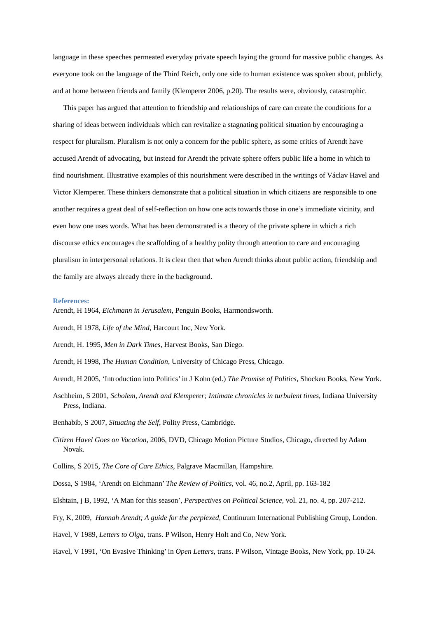language in these speeches permeated everyday private speech laying the ground for massive public changes. As everyone took on the language of the Third Reich, only one side to human existence was spoken about, publicly, and at home between friends and family (Klemperer 2006, p.20). The results were, obviously, catastrophic.

This paper has argued that attention to friendship and relationships of care can create the conditions for a sharing of ideas between individuals which can revitalize a stagnating political situation by encouraging a respect for pluralism. Pluralism is not only a concern for the public sphere, as some critics of Arendt have accused Arendt of advocating, but instead for Arendt the private sphere offers public life a home in which to find nourishment. Illustrative examples of this nourishment were described in the writings of Václav Havel and Victor Klemperer. These thinkers demonstrate that a political situation in which citizens are responsible to one another requires a great deal of self-reflection on how one acts towards those in one's immediate vicinity, and even how one uses words. What has been demonstrated is a theory of the private sphere in which a rich discourse ethics encourages the scaffolding of a healthy polity through attention to care and encouraging pluralism in interpersonal relations. It is clear then that when Arendt thinks about public action, friendship and the family are always already there in the background.

### **References:**

Arendt, H 1964, *Eichmann in Jerusalem*, Penguin Books, Harmondsworth.

- Arendt, H 1978, *Life of the Mind*, Harcourt Inc, New York.
- Arendt, H. 1995, *Men in Dark Times*, Harvest Books, San Diego.
- Arendt, H 1998, *The Human Condition*, University of Chicago Press, Chicago.
- Arendt, H 2005, 'Introduction into Politics' in J Kohn (ed.) *The Promise of Politics*, Shocken Books, New York.
- Aschheim, S 2001, *Scholem, Arendt and Klemperer; Intimate chronicles in turbulent times*, Indiana University Press, Indiana.
- Benhabib, S 2007, *Situating the Self*, Polity Press, Cambridge.
- *Citizen Havel Goes on Vacation*, 2006, DVD, Chicago Motion Picture Studios, Chicago, directed by Adam Novak.
- Collins, S 2015, *The Core of Care Ethics*, Palgrave Macmillan, Hampshire.
- Dossa, S 1984, 'Arendt on Eichmann' *The Review of Politics*, vol. 46, no.2, April, pp. 163-182
- Elshtain, j B, 1992, 'A Man for this season', *Perspectives on Political Science*, vol. 21, no. 4, pp. 207-212.
- Fry, K, 2009, *Hannah Arendt; A guide for the perplexed*, Continuum International Publishing Group, London.
- Havel, V 1989, *Letters to Olga*, trans. P Wilson, Henry Holt and Co, New York.
- Havel, V 1991, 'On Evasive Thinking' in *Open Letters*, trans. P Wilson, Vintage Books, New York, pp. 10-24.